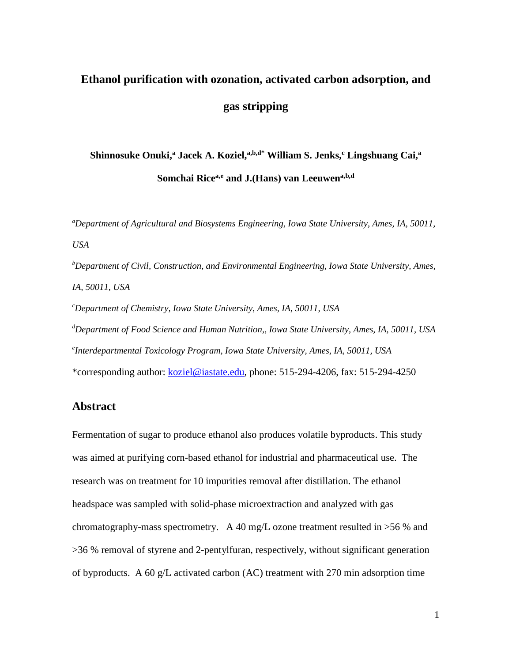# **Ethanol purification with ozonation, activated carbon adsorption, and gas stripping**

## **Shinnosuke Onuki, <sup>a</sup> Jacek A. Koziel, a,b,d\* William S. Jenks, <sup>c</sup> Lingshuang Cai, a Somchai Ricea,e and J.(Hans) van Leeuwena,b,d**

*a Department of Agricultural and Biosystems Engineering, Iowa State University, Ames, IA, 50011, USA*

*b Department of Civil, Construction, and Environmental Engineering, Iowa State University, Ames, IA, 50011, USA*

*c Department of Chemistry, Iowa State University, Ames, IA, 50011, USA d Department of Food Science and Human Nutrition,, Iowa State University, Ames, IA, 50011, USA e Interdepartmental Toxicology Program, Iowa State University, Ames, IA, 50011, USA* \*corresponding author: [koziel@iastate.edu,](mailto:koziel@iastate.edu) phone: 515-294-4206, fax: 515-294-4250

## **Abstract**

Fermentation of sugar to produce ethanol also produces volatile byproducts. This study was aimed at purifying corn-based ethanol for industrial and pharmaceutical use. The research was on treatment for 10 impurities removal after distillation. The ethanol headspace was sampled with solid-phase microextraction and analyzed with gas chromatography-mass spectrometry. A 40 mg/L ozone treatment resulted in >56 % and >36 % removal of styrene and 2-pentylfuran, respectively, without significant generation of byproducts. A 60 g/L activated carbon (AC) treatment with 270 min adsorption time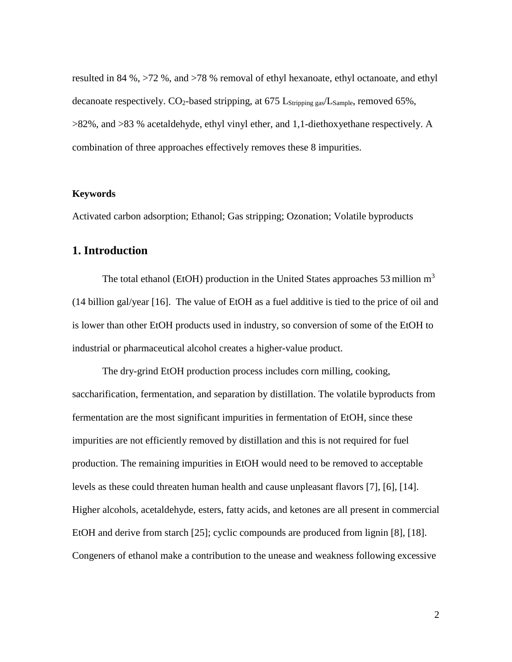resulted in 84 %, >72 %, and >78 % removal of ethyl hexanoate, ethyl octanoate, and ethyl decanoate respectively.  $CO_2$ -based stripping, at 675 L<sub>Stripping gas</sub>/L<sub>Sample</sub>, removed 65%, >82%, and >83 % acetaldehyde, ethyl vinyl ether, and 1,1-diethoxyethane respectively. A combination of three approaches effectively removes these 8 impurities.

#### **Keywords**

Activated carbon adsorption; Ethanol; Gas stripping; Ozonation; Volatile byproducts

## **1. Introduction**

The total ethanol (EtOH) production in the United States approaches 53 million  $m<sup>3</sup>$ (14 billion gal/year [16]. The value of EtOH as a fuel additive is tied to the price of oil and is lower than other EtOH products used in industry, so conversion of some of the EtOH to industrial or pharmaceutical alcohol creates a higher-value product.

The dry-grind EtOH production process includes corn milling, cooking, saccharification, fermentation, and separation by distillation. The volatile byproducts from fermentation are the most significant impurities in fermentation of EtOH, since these impurities are not efficiently removed by distillation and this is not required for fuel production. The remaining impurities in EtOH would need to be removed to acceptable levels as these could threaten human health and cause unpleasant flavors [7], [6], [14]. Higher alcohols, acetaldehyde, esters, fatty acids, and ketones are all present in commercial EtOH and derive from starch [25]; cyclic compounds are produced from lignin [8], [18]. Congeners of ethanol make a contribution to the unease and weakness following excessive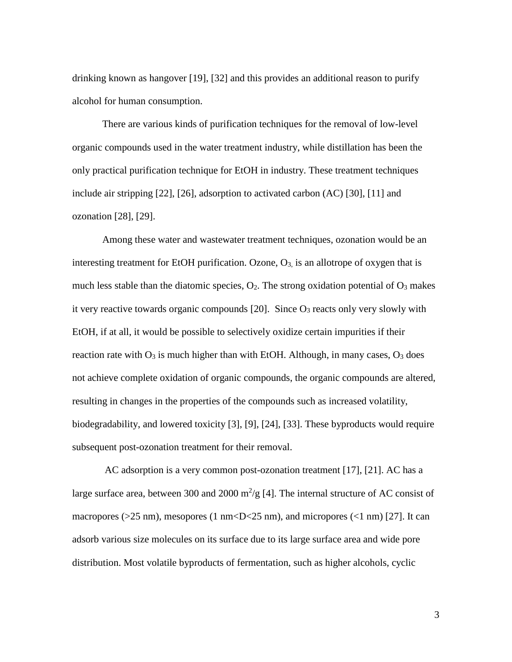drinking known as hangover [19], [32] and this provides an additional reason to purify alcohol for human consumption.

There are various kinds of purification techniques for the removal of low-level organic compounds used in the water treatment industry, while distillation has been the only practical purification technique for EtOH in industry. These treatment techniques include air stripping [22], [26], adsorption to activated carbon (AC) [30], [11] and ozonation [28], [29].

Among these water and wastewater treatment techniques, ozonation would be an interesting treatment for EtOH purification. Ozone,  $O_3$  is an allotrope of oxygen that is much less stable than the diatomic species,  $O_2$ . The strong oxidation potential of  $O_3$  makes it very reactive towards organic compounds  $[20]$ . Since  $O_3$  reacts only very slowly with EtOH, if at all, it would be possible to selectively oxidize certain impurities if their reaction rate with  $O_3$  is much higher than with EtOH. Although, in many cases,  $O_3$  does not achieve complete oxidation of organic compounds, the organic compounds are altered, resulting in changes in the properties of the compounds such as increased volatility, biodegradability, and lowered toxicity [3], [9], [24], [33]. These byproducts would require subsequent post-ozonation treatment for their removal.

AC adsorption is a very common post-ozonation treatment [17], [21]. AC has a large surface area, between 300 and 2000  $m^2/g$  [4]. The internal structure of AC consist of macropores (>25 nm), mesopores (1 nm<D<25 nm), and micropores (<1 nm) [27]. It can adsorb various size molecules on its surface due to its large surface area and wide pore distribution. Most volatile byproducts of fermentation, such as higher alcohols, cyclic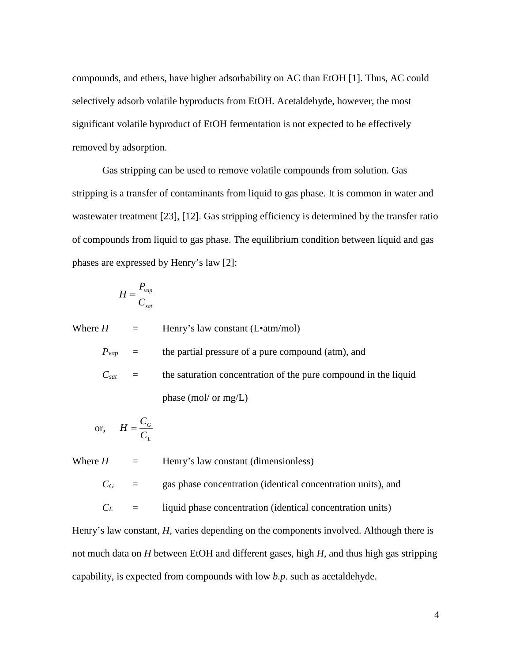compounds, and ethers, have higher adsorbability on AC than EtOH [1]. Thus, AC could selectively adsorb volatile byproducts from EtOH. Acetaldehyde, however, the most significant volatile byproduct of EtOH fermentation is not expected to be effectively removed by adsorption.

Gas stripping can be used to remove volatile compounds from solution. Gas stripping is a transfer of contaminants from liquid to gas phase. It is common in water and wastewater treatment [23], [12]. Gas stripping efficiency is determined by the transfer ratio of compounds from liquid to gas phase. The equilibrium condition between liquid and gas phases are expressed by Henry's law [2]:

$$
H = \frac{P_{vap}}{C_{sat}}
$$

Where  $H =$  Henry's law constant (L•atm/mol)

 $P_{vap}$  = the partial pressure of a pure compound (atm), and

 $C_{\text{sat}}$  = the saturation concentration of the pure compound in the liquid phase (mol/ or mg/L)

or, 
$$
H = \frac{C_G}{C_L}
$$

Where  $H =$  Henry's law constant (dimensionless)

 $C_G$  = gas phase concentration (identical concentration units), and

 $C_L$  = liquid phase concentration (identical concentration units)

Henry's law constant, *H*, varies depending on the components involved. Although there is not much data on *H* between EtOH and different gases, high *H*, and thus high gas stripping capability, is expected from compounds with low *b.p*. such as acetaldehyde.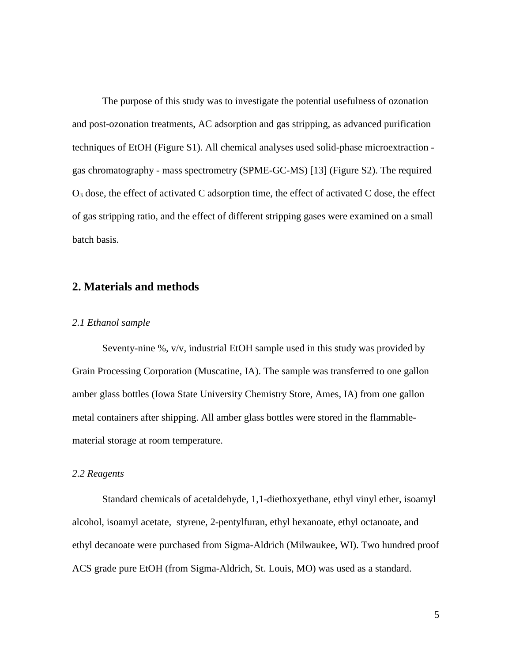The purpose of this study was to investigate the potential usefulness of ozonation and post-ozonation treatments, AC adsorption and gas stripping, as advanced purification techniques of EtOH (Figure S1). All chemical analyses used solid-phase microextraction gas chromatography - mass spectrometry (SPME-GC-MS) [13] (Figure S2). The required  $O_3$  dose, the effect of activated C adsorption time, the effect of activated C dose, the effect of gas stripping ratio, and the effect of different stripping gases were examined on a small batch basis.

## **2. Materials and methods**

#### *2.1 Ethanol sample*

Seventy-nine %, v/v, industrial EtOH sample used in this study was provided by Grain Processing Corporation (Muscatine, IA). The sample was transferred to one gallon amber glass bottles (Iowa State University Chemistry Store, Ames, IA) from one gallon metal containers after shipping. All amber glass bottles were stored in the flammablematerial storage at room temperature.

#### *2.2 Reagents*

Standard chemicals of acetaldehyde, 1,1-diethoxyethane, ethyl vinyl ether, isoamyl alcohol, isoamyl acetate, styrene, 2-pentylfuran, ethyl hexanoate, ethyl octanoate, and ethyl decanoate were purchased from Sigma-Aldrich (Milwaukee, WI). Two hundred proof ACS grade pure EtOH (from Sigma-Aldrich, St. Louis, MO) was used as a standard.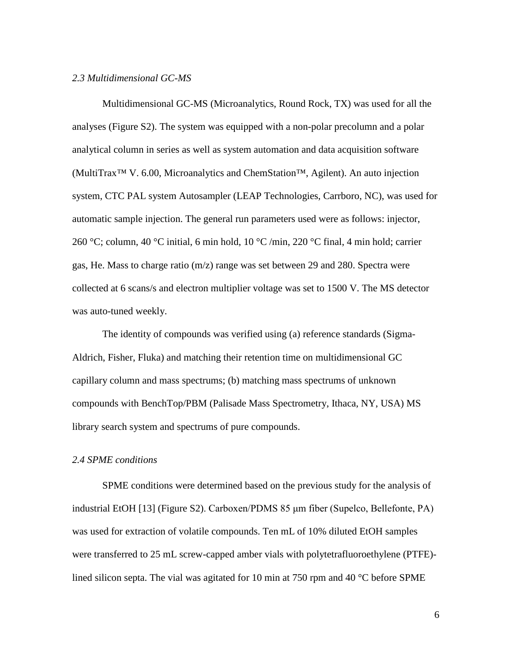#### *2.3 Multidimensional GC-MS*

Multidimensional GC-MS (Microanalytics, Round Rock, TX) was used for all the analyses (Figure S2). The system was equipped with a non-polar precolumn and a polar analytical column in series as well as system automation and data acquisition software (MultiTrax™ V. 6.00, Microanalytics and ChemStation™, Agilent). An auto injection system, CTC PAL system Autosampler (LEAP Technologies, Carrboro, NC), was used for automatic sample injection. The general run parameters used were as follows: injector, 260 °C; column, 40 °C initial, 6 min hold, 10 °C /min, 220 °C final, 4 min hold; carrier gas, He. Mass to charge ratio (m/z) range was set between 29 and 280. Spectra were collected at 6 scans/s and electron multiplier voltage was set to 1500 V. The MS detector was auto-tuned weekly.

The identity of compounds was verified using (a) reference standards (Sigma-Aldrich, Fisher, Fluka) and matching their retention time on multidimensional GC capillary column and mass spectrums; (b) matching mass spectrums of unknown compounds with BenchTop/PBM (Palisade Mass Spectrometry, Ithaca, NY, USA) MS library search system and spectrums of pure compounds.

#### *2.4 SPME conditions*

SPME conditions were determined based on the previous study for the analysis of industrial EtOH [13] (Figure S2). Carboxen/PDMS 85 μm fiber (Supelco, Bellefonte, PA) was used for extraction of volatile compounds. Ten mL of 10% diluted EtOH samples were transferred to 25 mL screw-capped amber vials with polytetrafluoroethylene (PTFE) lined silicon septa. The vial was agitated for 10 min at 750 rpm and 40 °C before SPME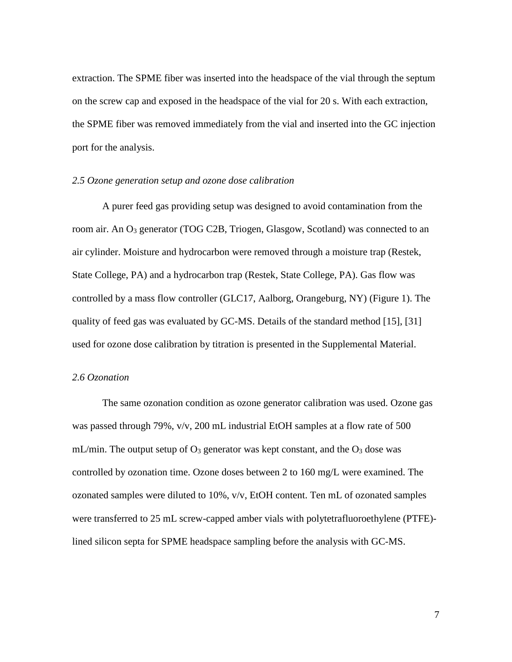extraction. The SPME fiber was inserted into the headspace of the vial through the septum on the screw cap and exposed in the headspace of the vial for 20 s. With each extraction, the SPME fiber was removed immediately from the vial and inserted into the GC injection port for the analysis.

#### *2.5 Ozone generation setup and ozone dose calibration*

A purer feed gas providing setup was designed to avoid contamination from the room air. An O3 generator (TOG C2B, Triogen, Glasgow, Scotland) was connected to an air cylinder. Moisture and hydrocarbon were removed through a moisture trap (Restek, State College, PA) and a hydrocarbon trap (Restek, State College, PA). Gas flow was controlled by a mass flow controller (GLC17, Aalborg, Orangeburg, NY) (Figure 1). The quality of feed gas was evaluated by GC-MS. Details of the standard method [15], [31] used for ozone dose calibration by titration is presented in the Supplemental Material.

#### *2.6 Ozonation*

The same ozonation condition as ozone generator calibration was used. Ozone gas was passed through 79%,  $v/v$ , 200 mL industrial EtOH samples at a flow rate of 500 mL/min. The output setup of  $O_3$  generator was kept constant, and the  $O_3$  dose was controlled by ozonation time. Ozone doses between 2 to 160 mg/L were examined. The ozonated samples were diluted to 10%, v/v, EtOH content. Ten mL of ozonated samples were transferred to 25 mL screw-capped amber vials with polytetrafluoroethylene (PTFE) lined silicon septa for SPME headspace sampling before the analysis with GC-MS.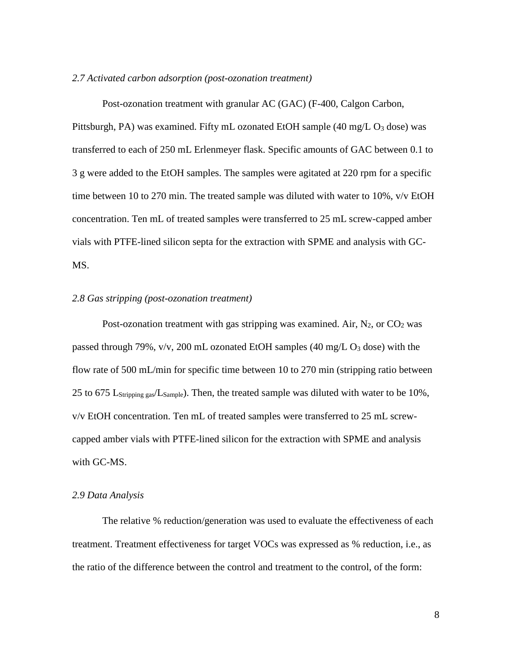#### *2.7 Activated carbon adsorption (post-ozonation treatment)*

Post-ozonation treatment with granular AC (GAC) (F-400, Calgon Carbon, Pittsburgh, PA) was examined. Fifty mL ozonated EtOH sample (40 mg/L O<sub>3</sub> dose) was transferred to each of 250 mL Erlenmeyer flask. Specific amounts of GAC between 0.1 to 3 g were added to the EtOH samples. The samples were agitated at 220 rpm for a specific time between 10 to 270 min. The treated sample was diluted with water to 10%, v/v EtOH concentration. Ten mL of treated samples were transferred to 25 mL screw-capped amber vials with PTFE-lined silicon septa for the extraction with SPME and analysis with GC-MS.

#### *2.8 Gas stripping (post-ozonation treatment)*

Post-ozonation treatment with gas stripping was examined. Air,  $N_2$ , or  $CO_2$  was passed through 79%,  $v/v$ , 200 mL ozonated EtOH samples (40 mg/L  $O_3$  dose) with the flow rate of 500 mL/min for specific time between 10 to 270 min (stripping ratio between 25 to 675 L<sub>Stripping gas</sub>/L<sub>Sample</sub>). Then, the treated sample was diluted with water to be 10%, v/v EtOH concentration. Ten mL of treated samples were transferred to 25 mL screwcapped amber vials with PTFE-lined silicon for the extraction with SPME and analysis with GC-MS.

#### *2.9 Data Analysis*

The relative % reduction/generation was used to evaluate the effectiveness of each treatment. Treatment effectiveness for target VOCs was expressed as % reduction, i.e., as the ratio of the difference between the control and treatment to the control, of the form: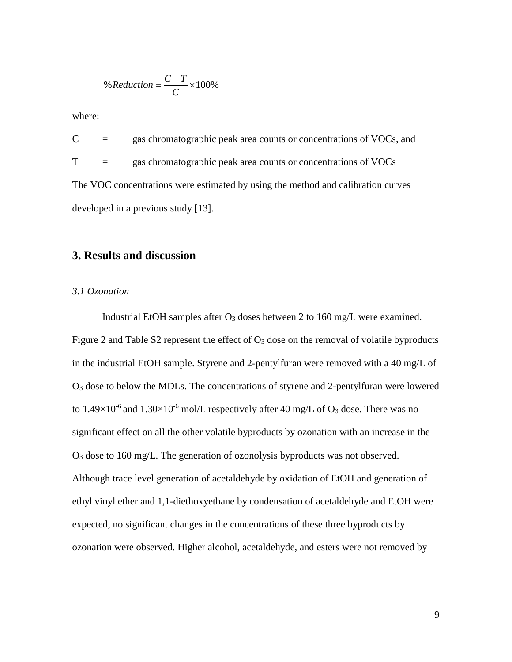% *Reduction* = 
$$
\frac{C - T}{C} \times 100\%
$$

where:

 $C =$  gas chromatographic peak area counts or concentrations of VOCs, and T = gas chromatographic peak area counts or concentrations of VOCs The VOC concentrations were estimated by using the method and calibration curves developed in a previous study [13].

## **3. Results and discussion**

#### *3.1 Ozonation*

Industrial EtOH samples after  $O_3$  doses between 2 to 160 mg/L were examined. Figure 2 and Table S2 represent the effect of  $O_3$  dose on the removal of volatile byproducts in the industrial EtOH sample. Styrene and 2-pentylfuran were removed with a 40 mg/L of O3 dose to below the MDLs. The concentrations of styrene and 2-pentylfuran were lowered to  $1.49\times10^{-6}$  and  $1.30\times10^{-6}$  mol/L respectively after 40 mg/L of O<sub>3</sub> dose. There was no significant effect on all the other volatile byproducts by ozonation with an increase in the O3 dose to 160 mg/L. The generation of ozonolysis byproducts was not observed. Although trace level generation of acetaldehyde by oxidation of EtOH and generation of ethyl vinyl ether and 1,1-diethoxyethane by condensation of acetaldehyde and EtOH were expected, no significant changes in the concentrations of these three byproducts by ozonation were observed. Higher alcohol, acetaldehyde, and esters were not removed by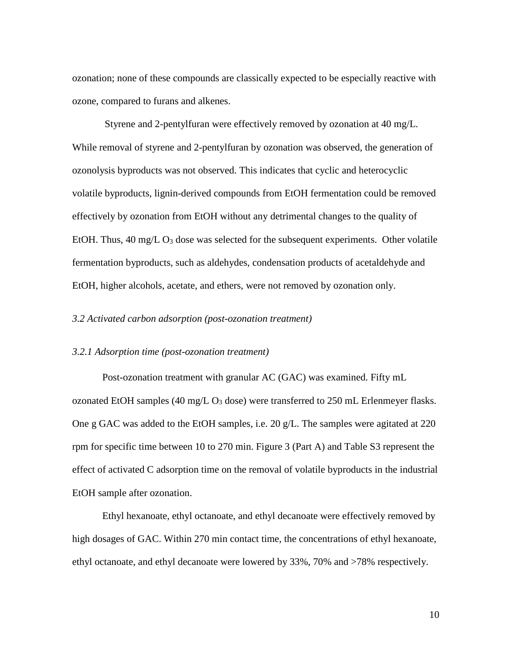ozonation; none of these compounds are classically expected to be especially reactive with ozone, compared to furans and alkenes.

Styrene and 2-pentylfuran were effectively removed by ozonation at 40 mg/L. While removal of styrene and 2-pentylfuran by ozonation was observed, the generation of ozonolysis byproducts was not observed. This indicates that cyclic and heterocyclic volatile byproducts, lignin-derived compounds from EtOH fermentation could be removed effectively by ozonation from EtOH without any detrimental changes to the quality of EtOH. Thus,  $40 \text{ mg/L } O_3$  dose was selected for the subsequent experiments. Other volatile fermentation byproducts, such as aldehydes, condensation products of acetaldehyde and EtOH, higher alcohols, acetate, and ethers, were not removed by ozonation only.

#### *3.2 Activated carbon adsorption (post-ozonation treatment)*

#### *3.2.1 Adsorption time (post-ozonation treatment)*

Post-ozonation treatment with granular AC (GAC) was examined. Fifty mL ozonated EtOH samples (40 mg/L  $O_3$  dose) were transferred to 250 mL Erlenmeyer flasks. One g GAC was added to the EtOH samples, i.e. 20 g/L. The samples were agitated at 220 rpm for specific time between 10 to 270 min. Figure 3 (Part A) and Table S3 represent the effect of activated C adsorption time on the removal of volatile byproducts in the industrial EtOH sample after ozonation.

Ethyl hexanoate, ethyl octanoate, and ethyl decanoate were effectively removed by high dosages of GAC. Within 270 min contact time, the concentrations of ethyl hexanoate, ethyl octanoate, and ethyl decanoate were lowered by 33%, 70% and >78% respectively.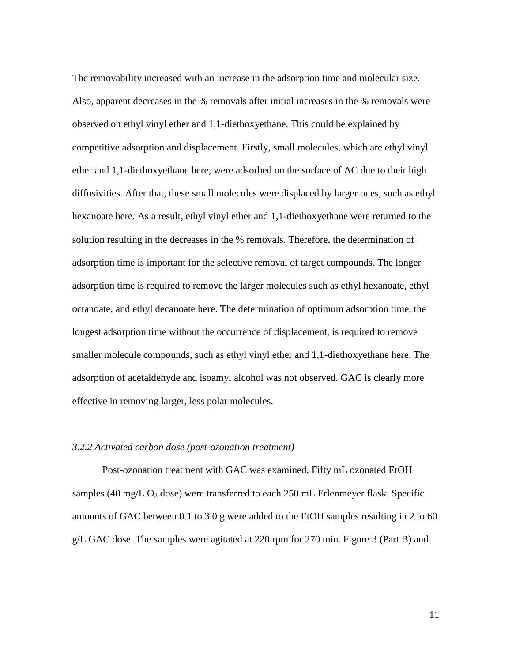The removability increased with an increase in the adsorption time and molecular size. Also, apparent decreases in the % removals after initial increases in the % removals were observed on ethyl vinyl ether and 1,1-diethoxyethane. This could be explained by competitive adsorption and displacement. Firstly, small molecules, which are ethyl vinyl ether and 1,1-diethoxyethane here, were adsorbed on the surface of AC due to their high diffusivities. After that, these small molecules were displaced by larger ones, such as ethyl hexanoate here. As a result, ethyl vinyl ether and 1,1-diethoxyethane were returned to the solution resulting in the decreases in the % removals. Therefore, the determination of adsorption time is important for the selective removal of target compounds. The longer adsorption time is required to remove the larger molecules such as ethyl hexanoate, ethyl octanoate, and ethyl decanoate here. The determination of optimum adsorption time, the longest adsorption time without the occurrence of displacement, is required to remove smaller molecule compounds, such as ethyl vinyl ether and 1,1-diethoxyethane here. The adsorption of acetaldehyde and isoamyl alcohol was not observed. GAC is clearly more effective in removing larger, less polar molecules.

#### *3.2.2 Activated carbon dose (post-ozonation treatment)*

Post-ozonation treatment with GAC was examined. Fifty mL ozonated EtOH samples (40 mg/L  $O_3$  dose) were transferred to each 250 mL Erlenmeyer flask. Specific amounts of GAC between 0.1 to 3.0 g were added to the EtOH samples resulting in 2 to 60 g/L GAC dose. The samples were agitated at 220 rpm for 270 min. Figure 3 (Part B) and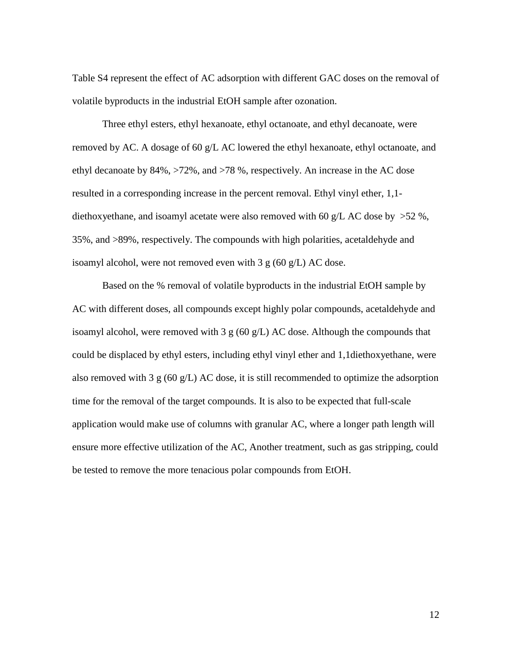Table S4 represent the effect of AC adsorption with different GAC doses on the removal of volatile byproducts in the industrial EtOH sample after ozonation.

Three ethyl esters, ethyl hexanoate, ethyl octanoate, and ethyl decanoate, were removed by AC. A dosage of 60 g/L AC lowered the ethyl hexanoate, ethyl octanoate, and ethyl decanoate by 84%, >72%, and >78 %, respectively. An increase in the AC dose resulted in a corresponding increase in the percent removal. Ethyl vinyl ether, 1,1 diethoxyethane, and isoamyl acetate were also removed with 60 g/L AC dose by  $>52$  %, 35%, and >89%, respectively. The compounds with high polarities, acetaldehyde and isoamyl alcohol, were not removed even with 3 g (60 g/L) AC dose.

Based on the % removal of volatile byproducts in the industrial EtOH sample by AC with different doses, all compounds except highly polar compounds, acetaldehyde and isoamyl alcohol, were removed with 3 g  $(60 \text{ g/L})$  AC dose. Although the compounds that could be displaced by ethyl esters, including ethyl vinyl ether and 1,1diethoxyethane, were also removed with 3 g (60 g/L) AC dose, it is still recommended to optimize the adsorption time for the removal of the target compounds. It is also to be expected that full-scale application would make use of columns with granular AC, where a longer path length will ensure more effective utilization of the AC, Another treatment, such as gas stripping, could be tested to remove the more tenacious polar compounds from EtOH.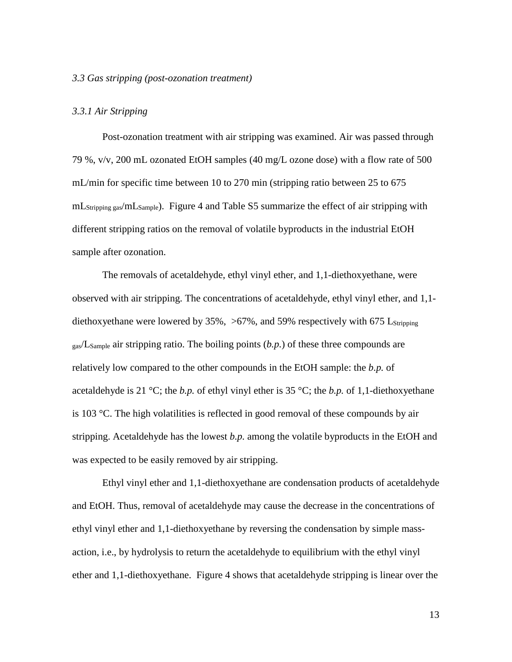#### *3.3 Gas stripping (post-ozonation treatment)*

#### *3.3.1 Air Stripping*

Post-ozonation treatment with air stripping was examined. Air was passed through 79 %, v/v, 200 mL ozonated EtOH samples (40 mg/L ozone dose) with a flow rate of 500 mL/min for specific time between 10 to 270 min (stripping ratio between 25 to 675 mLStripping gas/mLSample). Figure 4 and Table S5 summarize the effect of air stripping with different stripping ratios on the removal of volatile byproducts in the industrial EtOH sample after ozonation.

The removals of acetaldehyde, ethyl vinyl ether, and 1,1-diethoxyethane, were observed with air stripping. The concentrations of acetaldehyde, ethyl vinyl ether, and 1,1 diethoxyethane were lowered by 35%,  $>67\%$ , and 59% respectively with 675 Lstripping gas/LSample air stripping ratio. The boiling points (*b.p.*) of these three compounds are relatively low compared to the other compounds in the EtOH sample: the *b.p.* of acetaldehyde is 21 °C; the *b.p.* of ethyl vinyl ether is 35 °C; the *b.p.* of 1,1-diethoxyethane is 103 °C. The high volatilities is reflected in good removal of these compounds by air stripping. Acetaldehyde has the lowest *b.p.* among the volatile byproducts in the EtOH and was expected to be easily removed by air stripping.

Ethyl vinyl ether and 1,1-diethoxyethane are condensation products of acetaldehyde and EtOH. Thus, removal of acetaldehyde may cause the decrease in the concentrations of ethyl vinyl ether and 1,1-diethoxyethane by reversing the condensation by simple massaction, i.e., by hydrolysis to return the acetaldehyde to equilibrium with the ethyl vinyl ether and 1,1-diethoxyethane. Figure 4 shows that acetaldehyde stripping is linear over the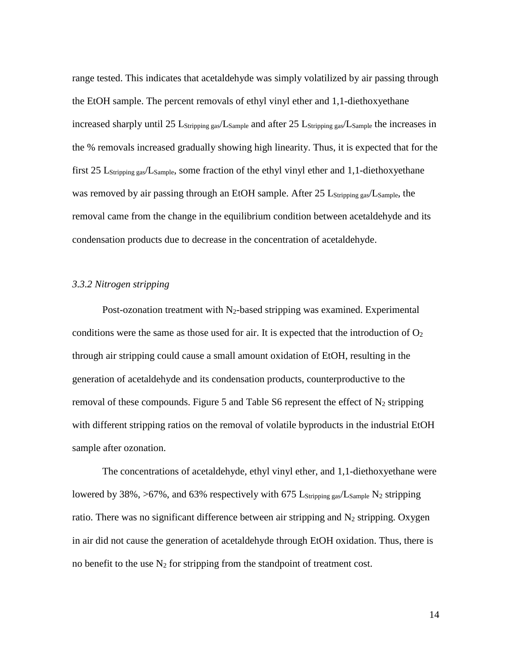range tested. This indicates that acetaldehyde was simply volatilized by air passing through the EtOH sample. The percent removals of ethyl vinyl ether and 1,1-diethoxyethane increased sharply until 25 L<sub>Stripping gas</sub>/L<sub>Sample</sub> and after 25 L<sub>Stripping gas</sub>/L<sub>Sample</sub> the increases in the % removals increased gradually showing high linearity. Thus, it is expected that for the first 25 LStripping gas/LSample, some fraction of the ethyl vinyl ether and 1,1-diethoxyethane was removed by air passing through an EtOH sample. After 25 L<sub>Stripping gas</sub>/L<sub>Sample</sub>, the removal came from the change in the equilibrium condition between acetaldehyde and its condensation products due to decrease in the concentration of acetaldehyde.

#### *3.3.2 Nitrogen stripping*

Post-ozonation treatment with  $N_2$ -based stripping was examined. Experimental conditions were the same as those used for air. It is expected that the introduction of  $O_2$ through air stripping could cause a small amount oxidation of EtOH, resulting in the generation of acetaldehyde and its condensation products, counterproductive to the removal of these compounds. Figure 5 and Table S6 represent the effect of  $N_2$  stripping with different stripping ratios on the removal of volatile byproducts in the industrial EtOH sample after ozonation.

The concentrations of acetaldehyde, ethyl vinyl ether, and 1,1-diethoxyethane were lowered by 38%, >67%, and 63% respectively with 675 L<sub>Stripping gas</sub>/L<sub>Sample</sub> N<sub>2</sub> stripping ratio. There was no significant difference between air stripping and  $N_2$  stripping. Oxygen in air did not cause the generation of acetaldehyde through EtOH oxidation. Thus, there is no benefit to the use  $N_2$  for stripping from the standpoint of treatment cost.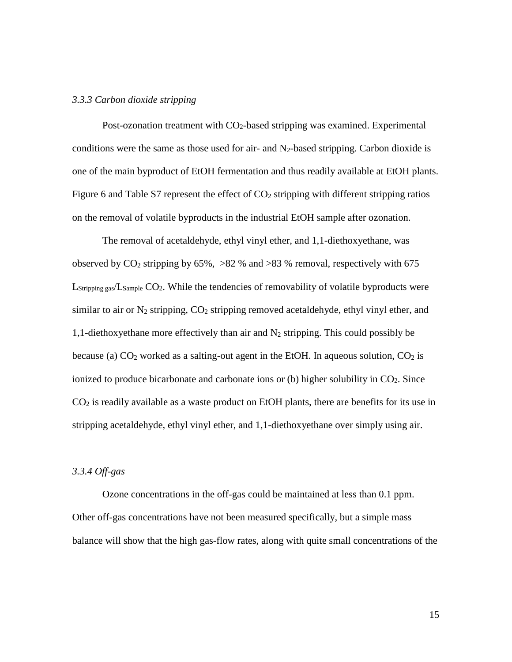#### *3.3.3 Carbon dioxide stripping*

Post-ozonation treatment with CO<sub>2</sub>-based stripping was examined. Experimental conditions were the same as those used for air- and  $N_2$ -based stripping. Carbon dioxide is one of the main byproduct of EtOH fermentation and thus readily available at EtOH plants. Figure 6 and Table S7 represent the effect of  $CO<sub>2</sub>$  stripping with different stripping ratios on the removal of volatile byproducts in the industrial EtOH sample after ozonation.

The removal of acetaldehyde, ethyl vinyl ether, and 1,1-diethoxyethane, was observed by  $CO_2$  stripping by 65%,  $>82$  % and  $>83$  % removal, respectively with 675  $L_{Stringing gas}/L_{Sample}$  CO<sub>2</sub>. While the tendencies of removability of volatile byproducts were similar to air or  $N_2$  stripping,  $CO_2$  stripping removed acetaldehyde, ethyl vinyl ether, and 1,1-diethoxyethane more effectively than air and  $N_2$  stripping. This could possibly be because (a)  $CO<sub>2</sub>$  worked as a salting-out agent in the EtOH. In aqueous solution,  $CO<sub>2</sub>$  is ionized to produce bicarbonate and carbonate ions or  $(b)$  higher solubility in  $CO<sub>2</sub>$ . Since CO2 is readily available as a waste product on EtOH plants, there are benefits for its use in stripping acetaldehyde, ethyl vinyl ether, and 1,1-diethoxyethane over simply using air.

#### *3.3.4 Off-gas*

Ozone concentrations in the off-gas could be maintained at less than 0.1 ppm. Other off-gas concentrations have not been measured specifically, but a simple mass balance will show that the high gas-flow rates, along with quite small concentrations of the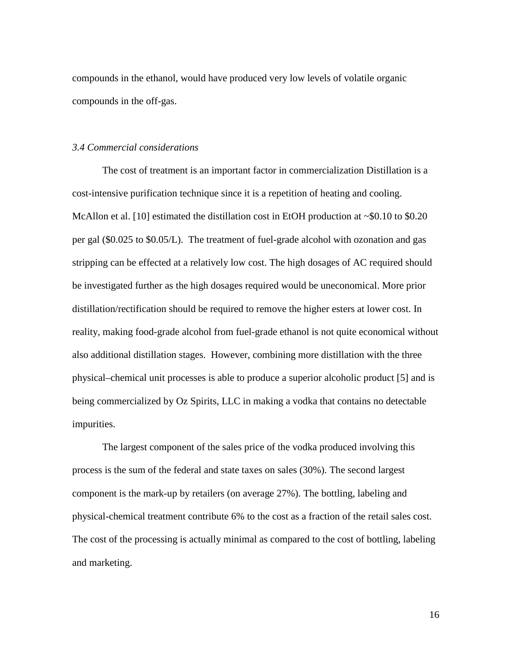compounds in the ethanol, would have produced very low levels of volatile organic compounds in the off-gas.

#### *3.4 Commercial considerations*

The cost of treatment is an important factor in commercialization Distillation is a cost-intensive purification technique since it is a repetition of heating and cooling. McAllon et al. [10] estimated the distillation cost in EtOH production at  $\sim 0.10$  to \$0.20 per gal (\$0.025 to \$0.05/L). The treatment of fuel-grade alcohol with ozonation and gas stripping can be effected at a relatively low cost. The high dosages of AC required should be investigated further as the high dosages required would be uneconomical. More prior distillation/rectification should be required to remove the higher esters at lower cost. In reality, making food-grade alcohol from fuel-grade ethanol is not quite economical without also additional distillation stages. However, combining more distillation with the three physical–chemical unit processes is able to produce a superior alcoholic product [5] and is being commercialized by Oz Spirits, LLC in making a vodka that contains no detectable impurities.

The largest component of the sales price of the vodka produced involving this process is the sum of the federal and state taxes on sales (30%). The second largest component is the mark-up by retailers (on average 27%). The bottling, labeling and physical-chemical treatment contribute 6% to the cost as a fraction of the retail sales cost. The cost of the processing is actually minimal as compared to the cost of bottling, labeling and marketing.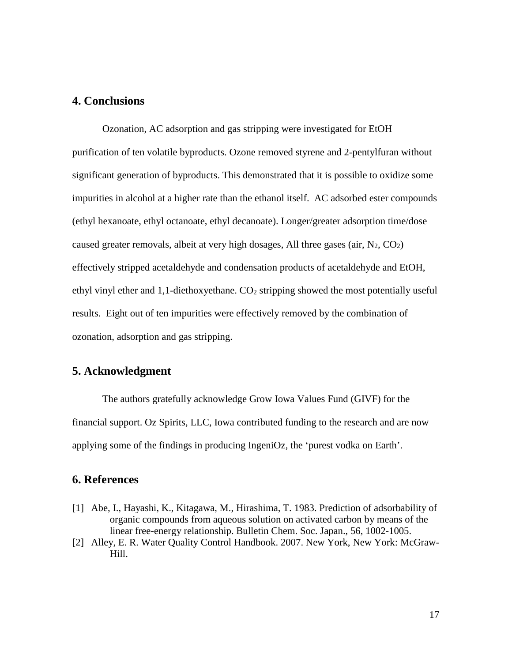### **4. Conclusions**

Ozonation, AC adsorption and gas stripping were investigated for EtOH purification of ten volatile byproducts. Ozone removed styrene and 2-pentylfuran without significant generation of byproducts. This demonstrated that it is possible to oxidize some impurities in alcohol at a higher rate than the ethanol itself. AC adsorbed ester compounds (ethyl hexanoate, ethyl octanoate, ethyl decanoate). Longer/greater adsorption time/dose caused greater removals, albeit at very high dosages, All three gases (air,  $N_2$ ,  $CO_2$ ) effectively stripped acetaldehyde and condensation products of acetaldehyde and EtOH, ethyl vinyl ether and  $1,1$ -diethoxyethane.  $CO<sub>2</sub>$  stripping showed the most potentially useful results. Eight out of ten impurities were effectively removed by the combination of ozonation, adsorption and gas stripping.

## **5. Acknowledgment**

The authors gratefully acknowledge Grow Iowa Values Fund (GIVF) for the financial support. Oz Spirits, LLC, Iowa contributed funding to the research and are now applying some of the findings in producing IngeniOz, the 'purest vodka on Earth'.

## **6. References**

- [1] Abe, I., Hayashi, K., Kitagawa, M., Hirashima, T. 1983. Prediction of adsorbability of organic compounds from aqueous solution on activated carbon by means of the linear free-energy relationship. Bulletin Chem. Soc. Japan., 56, 1002-1005.
- [2] Alley, E. R. Water Quality Control Handbook. 2007. New York, New York: McGraw-Hill.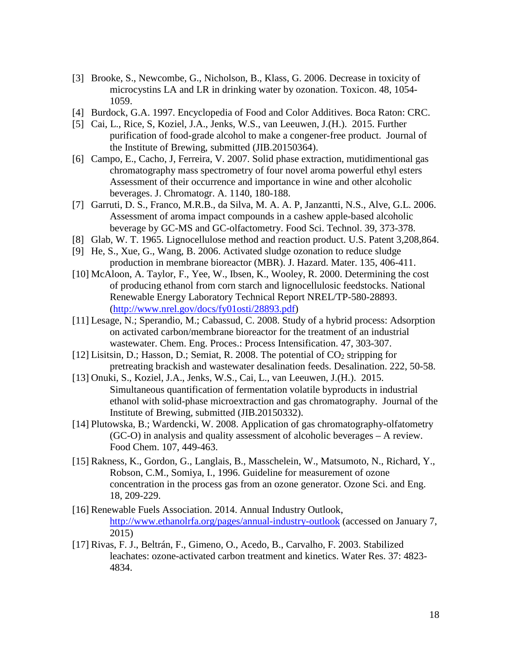- [3] Brooke, S., Newcombe, G., Nicholson, B., Klass, G. 2006. Decrease in toxicity of microcystins LA and LR in drinking water by ozonation. Toxicon. 48, 1054- 1059.
- [4] Burdock, G.A. 1997. Encyclopedia of Food and Color Additives. Boca Raton: CRC.
- [5] Cai, L., Rice, S, Koziel, J.A., Jenks, W.S., van Leeuwen, J.(H.). 2015. Further purification of food-grade alcohol to make a congener-free product. Journal of the Institute of Brewing, submitted (JIB.20150364).
- [6] Campo, E., Cacho, J, Ferreira, V. 2007. Solid phase extraction, mutidimentional gas chromatography mass spectrometry of four novel aroma powerful ethyl esters Assessment of their occurrence and importance in wine and other alcoholic beverages. J. Chromatogr. A. 1140, 180-188.
- [7] Garruti, D. S., Franco, M.R.B., da Silva, M. A. A. P, Janzantti, N.S., Alve, G.L. 2006. Assessment of aroma impact compounds in a cashew apple-based alcoholic beverage by GC-MS and GC-olfactometry. Food Sci. Technol. 39, 373-378.
- [8] Glab, W. T. 1965. Lignocellulose method and reaction product. U.S. Patent 3,208,864.
- [9] He, S., Xue, G., Wang, B. 2006. Activated sludge ozonation to reduce sludge production in membrane bioreactor (MBR). J. Hazard. Mater. 135, 406-411.
- [10] McAloon, A. Taylor, F., Yee, W., Ibsen, K., Wooley, R. 2000. Determining the cost of producing ethanol from corn starch and lignocellulosic feedstocks. National Renewable Energy Laboratory Technical Report NREL/TP-580-28893. [\(http://www.nrel.gov/docs/fy01osti/28893.pdf\)](http://www.nrel.gov/docs/fy01osti/28893.pdf)
- [11] Lesage, N.; Sperandio, M.; Cabassud, C. 2008. Study of a hybrid process: Adsorption on activated carbon/membrane bioreactor for the treatment of an industrial wastewater. Chem. Eng. Proces.: Process Intensification. 47, 303-307.
- [12] Lisitsin, D.; Hasson, D.; Semiat, R. 2008. The potential of  $CO<sub>2</sub>$  stripping for pretreating brackish and wastewater desalination feeds. Desalination. 222, 50-58.
- [13] Onuki, S., Koziel, J.A., Jenks, W.S., Cai, L., van Leeuwen, J.(H.). 2015. Simultaneous quantification of fermentation volatile byproducts in industrial ethanol with solid-phase microextraction and gas chromatography. Journal of the Institute of Brewing, submitted (JIB.20150332).
- [14] Plutowska, B.; Wardencki, W. 2008. Application of gas chromatography-olfatometry (GC-O) in analysis and quality assessment of alcoholic beverages – A review. Food Chem. 107, 449-463.
- [15] Rakness, K., Gordon, G., Langlais, B., Masschelein, W., Matsumoto, N., Richard, Y., Robson, C.M., Somiya, I., 1996. Guideline for measurement of ozone concentration in the process gas from an ozone generator. Ozone Sci. and Eng. 18, 209-229.
- [16] Renewable Fuels Association. 2014. Annual Industry Outlook, <http://www.ethanolrfa.org/pages/annual-industry-outlook> (accessed on January 7, 2015)
- [17] Rivas, F. J., Beltrán, F., Gimeno, O., Acedo, B., Carvalho, F. 2003. Stabilized leachates: ozone-activated carbon treatment and kinetics. Water Res. 37: 4823- 4834.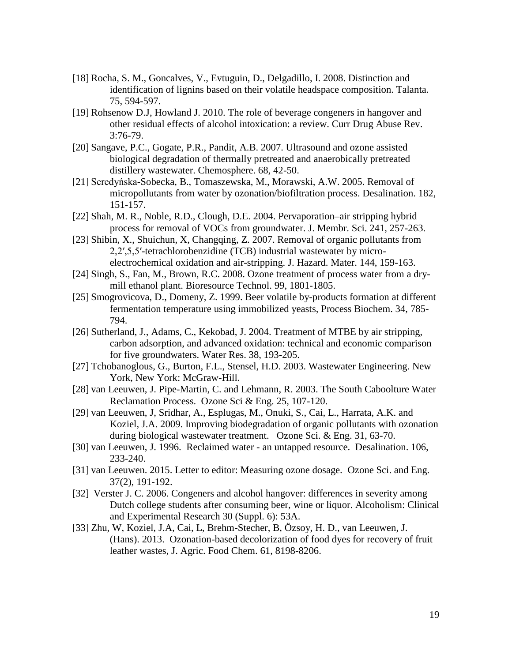- [18] Rocha, S. M., Goncalves, V., Evtuguin, D., Delgadillo, I. 2008. Distinction and identification of lignins based on their volatile headspace composition. Talanta. 75, 594-597.
- [19] Rohsenow D.J, Howland J. 2010. The role of beverage congeners in hangover and other residual effects of alcohol intoxication: a review. Curr Drug Abuse Rev. 3:76-79.
- [20] Sangave, P.C., Gogate, P.R., Pandit, A.B. 2007. Ultrasound and ozone assisted biological degradation of thermally pretreated and anaerobically pretreated distillery wastewater. Chemosphere. 68, 42-50.
- [21] Seredyńska-Sobecka, B., Tomaszewska, M., Morawski, A.W. 2005. Removal of micropollutants from water by ozonation/biofiltration process. Desalination. 182, 151-157.
- [22] Shah, M. R., Noble, R.D., Clough, D.E. 2004. Pervaporation–air stripping hybrid process for removal of VOCs from groundwater. J. Membr. Sci. 241, 257-263.
- [23] Shibin, X., Shuichun, X, Changqing, Z. 2007. Removal of organic pollutants from 2,2′,5,5′-tetrachlorobenzidine (TCB) industrial wastewater by microelectrochemical oxidation and air-stripping. J. Hazard. Mater. 144, 159-163.
- [24] Singh, S., Fan, M., Brown, R.C. 2008. Ozone treatment of process water from a drymill ethanol plant. Bioresource Technol. 99, 1801-1805.
- [25] Smogrovicova, D., Domeny, Z. 1999. Beer volatile by-products formation at different fermentation temperature using immobilized yeasts, Process Biochem. 34, 785- 794.
- [26] Sutherland, J., Adams, C., Kekobad, J. 2004. Treatment of MTBE by air stripping, carbon adsorption, and advanced oxidation: technical and economic comparison for five groundwaters. Water Res. 38, 193-205.
- [27] Tchobanoglous, G., Burton, F.L., Stensel, H.D. 2003. Wastewater Engineering. New York, New York: McGraw-Hill.
- [28] van Leeuwen, J. Pipe-Martin, C. and Lehmann, R. 2003. The South Caboolture Water Reclamation Process. Ozone Sci & Eng. 25, 107-120.
- [29] van Leeuwen, J, Sridhar, A., Esplugas, M., Onuki, S., Cai, L., Harrata, A.K. and Koziel, J.A. 2009. Improving biodegradation of organic pollutants with ozonation during biological wastewater treatment. Ozone Sci. & Eng. 31, 63-70.
- [30] van Leeuwen, J. 1996. Reclaimed water an untapped resource. Desalination. 106, 233-240.
- [31] van Leeuwen. 2015. Letter to editor: Measuring ozone dosage. Ozone Sci. and Eng. 37(2), 191-192.
- [32] Verster J. C. 2006. Congeners and alcohol hangover: differences in severity among Dutch college students after consuming beer, wine or liquor. Alcoholism: Clinical and Experimental Research 30 (Suppl. 6): 53A.
- [33] Zhu, W, Koziel, J.A, Cai, L, Brehm-Stecher, B, Özsoy, H. D., van Leeuwen, J. (Hans). 2013. Ozonation-based decolorization of food dyes for recovery of fruit leather wastes, J. Agric. Food Chem. 61, 8198-8206.